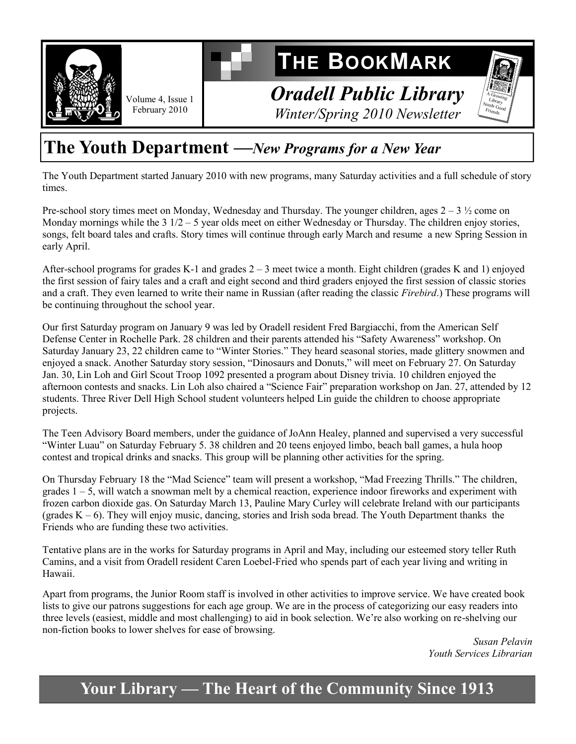

Volume 4, Issue 1 February 2010

# **THE BOOKMARK**

*Oradell Public Library Winter/Spring 2010 Newsletter*

### **The Youth Department —***New Programs for a New Year*

The Youth Department started January 2010 with new programs, many Saturday activities and a full schedule of story times.

Pre-school story times meet on Monday, Wednesday and Thursday. The younger children, ages  $2 - 3 \frac{1}{2}$  come on Monday mornings while the 3 1/2 – 5 year olds meet on either Wednesday or Thursday. The children enjoy stories, songs, felt board tales and crafts. Story times will continue through early March and resume a new Spring Session in early April.

After-school programs for grades K-1 and grades  $2 - 3$  meet twice a month. Eight children (grades K and 1) enjoyed the first session of fairy tales and a craft and eight second and third graders enjoyed the first session of classic stories and a craft. They even learned to write their name in Russian (after reading the classic *Firebird*.) These programs will be continuing throughout the school year.

Our first Saturday program on January 9 was led by Oradell resident Fred Bargiacchi, from the American Self Defense Center in Rochelle Park. 28 children and their parents attended his "Safety Awareness" workshop. On Saturday January 23, 22 children came to "Winter Stories." They heard seasonal stories, made glittery snowmen and enjoyed a snack. Another Saturday story session, "Dinosaurs and Donuts," will meet on February 27. On Saturday Jan. 30, Lin Loh and Girl Scout Troop 1092 presented a program about Disney trivia. 10 children enjoyed the afternoon contests and snacks. Lin Loh also chaired a "Science Fair" preparation workshop on Jan. 27, attended by 12 students. Three River Dell High School student volunteers helped Lin guide the children to choose appropriate projects.

The Teen Advisory Board members, under the guidance of JoAnn Healey, planned and supervised a very successful ―Winter Luau‖ on Saturday February 5. 38 children and 20 teens enjoyed limbo, beach ball games, a hula hoop contest and tropical drinks and snacks. This group will be planning other activities for the spring.

On Thursday February 18 the "Mad Science" team will present a workshop, "Mad Freezing Thrills." The children, grades 1 – 5, will watch a snowman melt by a chemical reaction, experience indoor fireworks and experiment with frozen carbon dioxide gas. On Saturday March 13, Pauline Mary Curley will celebrate Ireland with our participants (grades K – 6). They will enjoy music, dancing, stories and Irish soda bread. The Youth Department thanks the Friends who are funding these two activities.

Tentative plans are in the works for Saturday programs in April and May, including our esteemed story teller Ruth Camins, and a visit from Oradell resident Caren Loebel-Fried who spends part of each year living and writing in Hawaii.

Apart from programs, the Junior Room staff is involved in other activities to improve service. We have created book lists to give our patrons suggestions for each age group. We are in the process of categorizing our easy readers into three levels (easiest, middle and most challenging) to aid in book selection. We're also working on re-shelving our non-fiction books to lower shelves for ease of browsing.

> *Susan Pelavin Youth Services Librarian*

 $\frac{A \overline{G} \overline{r_{OW}}}{I \overline{r_{OW}}}$  $Library$ Needs Good  $F$ riends.

### **Your Library — The Heart of the Community Since 1913**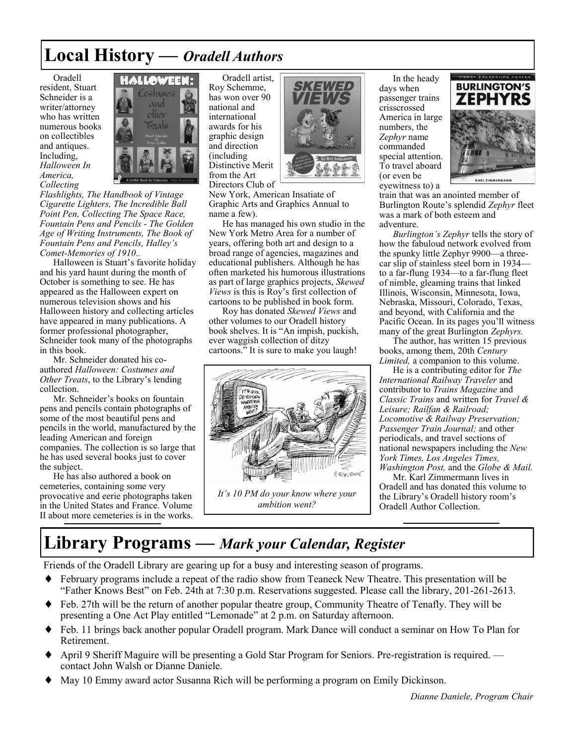### **Local History** *— Oradell Authors*

Oradell resident, Stuart Schneider is a writer/attorney who has written numerous books on collectibles and antiques. Including, *Halloween In America, Collecting* 



*Flashlights, The Handbook of Vintage Cigarette Lighters, The Incredible Ball Point Pen, Collecting The Space Race, Fountain Pens and Pencils - The Golden Age of Writing Instruments, The Book of Fountain Pens and Pencils, Halley's Comet-Memories of 1910..*

Halloween is Stuart's favorite holiday and his yard haunt during the month of October is something to see. He has appeared as the Halloween expert on numerous television shows and his Halloween history and collecting articles have appeared in many publications. A former professional photographer, Schneider took many of the photographs in this book.

Mr. Schneider donated his coauthored *Halloween: Costumes and Other Treats*, to the Library's lending collection.

Mr. Schneider's books on fountain pens and pencils contain photographs of some of the most beautiful pens and pencils in the world, manufactured by the leading American and foreign companies. The collection is so large that he has used several books just to cover the subject.

He has also authored a book on cemeteries, containing some very provocative and eerie photographs taken in the United States and France. Volume II about more cemeteries is in the works.

Oradell artist, Roy Schemme, has won over 90 national and international awards for his graphic design and direction (including Distinctive Merit from the Art Directors Club of



New York, American Insatiate of Graphic Arts and Graphics Annual to name a few).

He has managed his own studio in the New York Metro Area for a number of years, offering both art and design to a broad range of agencies, magazines and educational publishers. Although he has often marketed his humorous illustrations as part of large graphics projects, *Skewed Views* is this is Roy's first collection of cartoons to be published in book form.

Roy has donated *Skewed Views* and other volumes to our Oradell history book shelves. It is "An impish, puckish, ever waggish collection of ditzy cartoons." It is sure to make you laugh!



In the heady days when passenger trains crisscrossed America in large numbers, the *Zephyr* name commanded special attention. To travel aboard (or even be eyewitness to) a



train that was an anointed member of Burlington Route's splendid *Zephyr* fleet was a mark of both esteem and adventure.

*Burlington's Zephyr* tells the story of how the fabuloud network evolved from the spunky little Zephyr 9900—a threecar slip of stainless steel born in 1934 to a far-flung 1934—to a far-flung fleet of nimble, gleaming trains that linked Illinois, Wisconsin, Minnesota, Iowa, Nebraska, Missouri, Colorado, Texas, and beyond, with California and the Pacific Ocean. In its pages you'll witness many of the great Burlington *Zephyrs.*

The author, has written 15 previous books, among them, 20th *Century Limited,* a companion to this volume.

He is a contributing editor for *The International Railway Traveler* and contributor to *Trains Magazine* and *Classic Trains* and written for *Travel & Leisure; Railfan & Railroad; Locomotive & Railway Preservation; Passenger Train Journal;* and other periodicals, and travel sections of national newspapers including the *New York Times, Los Angeles Times, Washington Post,* and the *Globe & Mail.*

Mr. Karl Zimmermann lives in Oradell and has donated this volume to the Library's Oradell history room's Oradell Author Collection.

### **Library Programs —** *Mark your Calendar, Register*

Friends of the Oradell Library are gearing up for a busy and interesting season of programs.

- February programs include a repeat of the radio show from Teaneck New Theatre. This presentation will be ―Father Knows Best‖ on Feb. 24th at 7:30 p.m. Reservations suggested. Please call the library, 201-261-2613.
- Feb. 27th will be the return of another popular theatre group, Community Theatre of Tenafly. They will be presenting a One Act Play entitled "Lemonade" at 2 p.m. on Saturday afternoon.
- Feb. 11 brings back another popular Oradell program. Mark Dance will conduct a seminar on How To Plan for Retirement.
- April 9 Sheriff Maguire will be presenting a Gold Star Program for Seniors. Pre-registration is required. contact John Walsh or Dianne Daniele.
- May 10 Emmy award actor Susanna Rich will be performing a program on Emily Dickinson.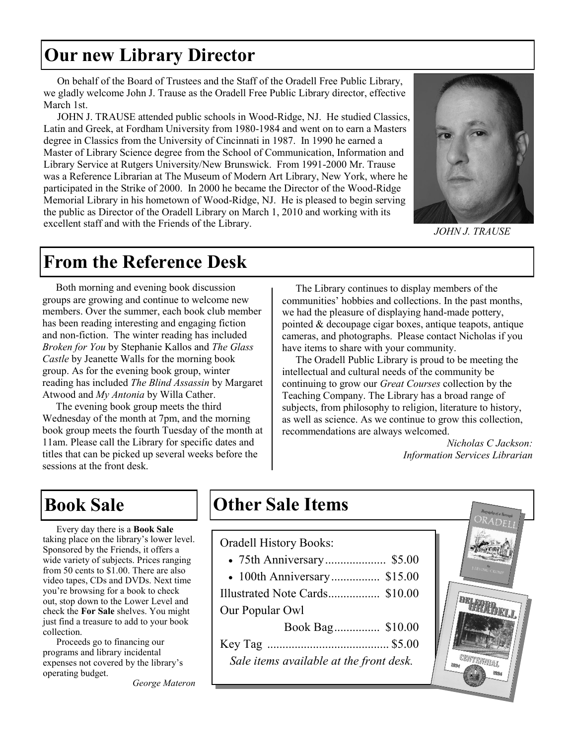### **Our new Library Director**

On behalf of the Board of Trustees and the Staff of the Oradell Free Public Library, we gladly welcome John J. Trause as the Oradell Free Public Library director, effective March 1st.

JOHN J. TRAUSE attended public schools in Wood-Ridge, NJ. He studied Classics, Latin and Greek, at Fordham University from 1980-1984 and went on to earn a Masters degree in Classics from the University of Cincinnati in 1987. In 1990 he earned a Master of Library Science degree from the School of Communication, Information and Library Service at Rutgers University/New Brunswick. From 1991-2000 Mr. Trause was a Reference Librarian at The Museum of Modern Art Library, New York, where he participated in the Strike of 2000. In 2000 he became the Director of the Wood-Ridge Memorial Library in his hometown of Wood-Ridge, NJ. He is pleased to begin serving the public as Director of the Oradell Library on March 1, 2010 and working with its excellent staff and with the Friends of the Library.



*JOHN J. TRAUSE* 

### **From the Reference Desk**

Both morning and evening book discussion groups are growing and continue to welcome new members. Over the summer, each book club member has been reading interesting and engaging fiction and non-fiction. The winter reading has included *Broken for You* by Stephanie Kallos and *The Glass Castle* by Jeanette Walls for the morning book group. As for the evening book group, winter reading has included *The Blind Assassin* by Margaret Atwood and *My Antonia* by Willa Cather.

The evening book group meets the third Wednesday of the month at 7pm, and the morning book group meets the fourth Tuesday of the month at 11am. Please call the Library for specific dates and titles that can be picked up several weeks before the sessions at the front desk.

The Library continues to display members of the communities' hobbies and collections. In the past months, we had the pleasure of displaying hand-made pottery, pointed & decoupage cigar boxes, antique teapots, antique cameras, and photographs. Please contact Nicholas if you have items to share with your community.

The Oradell Public Library is proud to be meeting the intellectual and cultural needs of the community be continuing to grow our *Great Courses* collection by the Teaching Company. The Library has a broad range of subjects, from philosophy to religion, literature to history, as well as science. As we continue to grow this collection, recommendations are always welcomed.

> *Nicholas C Jackson: Information Services Librarian*

Every day there is a **Book Sale**  taking place on the library's lower level. Sponsored by the Friends, it offers a wide variety of subjects. Prices ranging from 50 cents to \$1.00. There are also video tapes, CDs and DVDs. Next time you're browsing for a book to check out, stop down to the Lower Level and check the **For Sale** shelves. You might just find a treasure to add to your book collection.

Proceeds go to financing our programs and library incidental expenses not covered by the library's operating budget.

**Book Sale 12 Corner Sale Items** 

#### Oradell History Books:

- 75th Anniversary.................... \$5.00
- 100th Anniversary................ \$15.00
- Illustrated Note Cards................. \$10.00

Our Popular Owl

| Sale items available at the front desk. |  |
|-----------------------------------------|--|



*George Materon*